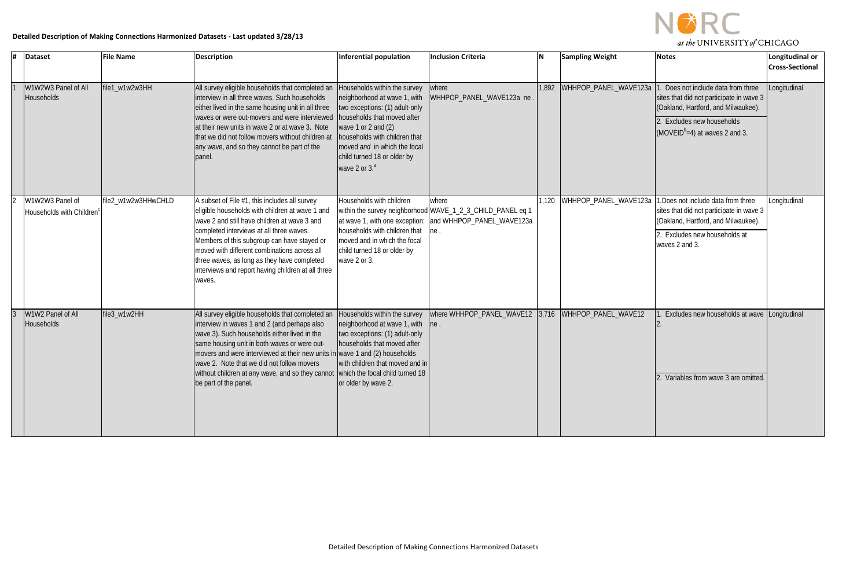

| # | <b>Dataset</b>                              | <b>File Name</b>    | Description                                                                                                                                                                                                                                                                                                                                                                                                                                | <b>Inferential population</b>                                                                                                                                                                                                             | <b>Inclusion Criteria</b>                                                                                                              | ΙN    | <b>Sampling Weight</b> | <b>Notes</b>                                                                                                                                                                                 | Longitudinal or<br><b>Cross-Sectional</b> |
|---|---------------------------------------------|---------------------|--------------------------------------------------------------------------------------------------------------------------------------------------------------------------------------------------------------------------------------------------------------------------------------------------------------------------------------------------------------------------------------------------------------------------------------------|-------------------------------------------------------------------------------------------------------------------------------------------------------------------------------------------------------------------------------------------|----------------------------------------------------------------------------------------------------------------------------------------|-------|------------------------|----------------------------------------------------------------------------------------------------------------------------------------------------------------------------------------------|-------------------------------------------|
|   | W1W2W3 Panel of All<br>Households           | file1_w1w2w3HH      | All survey eligible households that completed an<br>interview in all three waves. Such households<br>either lived in the same housing unit in all three<br>waves or were out-movers and were interviewed   households that moved after<br>at their new units in wave 2 or at wave 3. Note<br>that we did not follow movers without children at<br>any wave, and so they cannot be part of the<br>panel                                     | Households within the survey<br>neighborhood at wave 1, with<br>two exceptions: (1) adult-only<br>wave 1 or 2 and $(2)$<br>households with children that<br>moved and in which the focal<br>child turned 18 or older by<br>wave 2 or $3a$ | where<br>WHHPOP_PANEL_WAVE123a ne                                                                                                      | 1,892 | WHHPOP_PANEL_WAVE123a  | Does not include data from three<br>sites that did not participate in wave 3<br>(Oakland, Hartford, and Milwaukee).<br>Excludes new households<br>(MOVEID <sup>b</sup> =4) at waves 2 and 3. | Longitudinal                              |
|   | W1W2W3 Panel of<br>Households with Children | file2_w1w2w3HHwCHLD | A subset of File #1, this includes all survey<br>eligible households with children at wave 1 and<br>wave 2 and still have children at wave 3 and<br>completed interviews at all three waves.<br>Members of this subgroup can have stayed or<br>moved with different combinations across all<br>three waves, as long as they have completed<br>interviews and report having children at all three<br>waves.                                 | Households with children<br>households with children that<br>moved and in which the focal<br>child turned 18 or older by<br>wave 2 or 3.                                                                                                  | where<br>within the survey neighborhood WAVE_1_2_3_CHILD_PANEL eq 1<br>at wave 1, with one exception: and WHHPOP_PANEL_WAVE123a<br>ne. | 1,120 | WHHPOP PANEL WAVE123a  | 1. Does not include data from three<br>sites that did not participate in wave 3<br>(Oakland, Hartford, and Milwaukee).<br>2. Excludes new households at<br>waves 2 and 3.                    | Longitudinal                              |
|   | W1W2 Panel of All<br>Households             | file3_w1w2HH        | All survey eligible households that completed an<br>interview in waves 1 and 2 (and perhaps also<br>wave 3). Such households either lived in the<br>same housing unit in both waves or were out-<br>movers and were interviewed at their new units in wave 1 and (2) households<br>wave 2. Note that we did not follow movers<br>without children at any wave, and so they cannot which the focal child turned 18<br>be part of the panel. | Households within the survey<br>neighborhood at wave 1, with<br>two exceptions: (1) adult-only<br>households that moved after<br>with children that moved and in<br>or older by wave 2.                                                   | where WHHPOP_PANEL_WAVE12<br> ne.                                                                                                      | 3,716 | WHHPOP_PANEL_WAVE12    | Excludes new households at wave Longitudinal<br>2. Variables from wave 3 are omitted                                                                                                         |                                           |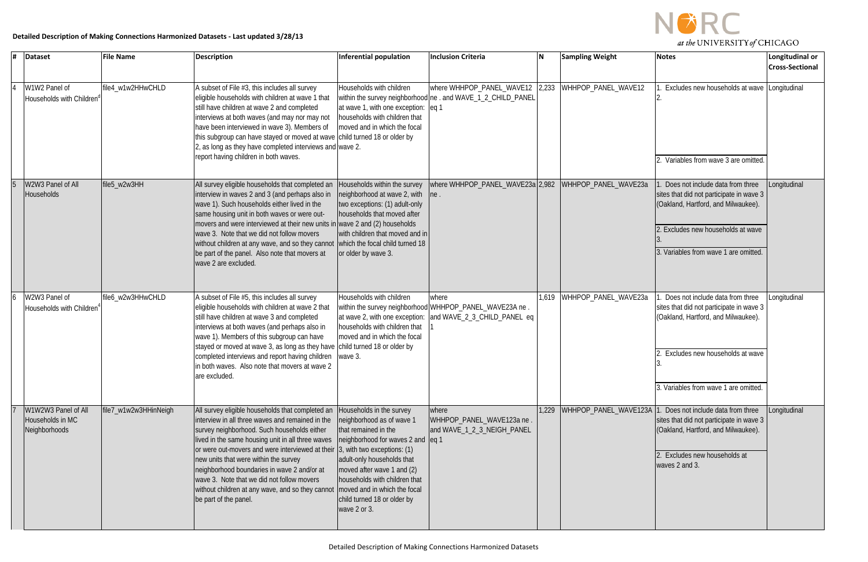

| # | <b>Dataset</b>                                           | <b>File Name</b>      | <b>Description</b>                                                                                                                                                                                                                                                                                                                                                                                                                                                                                          | <b>Inferential population</b>                                                                                                                                                                                                                                                                  | <b>Inclusion Criteria</b>                                                                                                      | İΝ    | <b>Sampling Weight</b> | <b>Notes</b>                                                                                                                                                                                    | Longitudinal or<br><b>Cross-Sectional</b> |
|---|----------------------------------------------------------|-----------------------|-------------------------------------------------------------------------------------------------------------------------------------------------------------------------------------------------------------------------------------------------------------------------------------------------------------------------------------------------------------------------------------------------------------------------------------------------------------------------------------------------------------|------------------------------------------------------------------------------------------------------------------------------------------------------------------------------------------------------------------------------------------------------------------------------------------------|--------------------------------------------------------------------------------------------------------------------------------|-------|------------------------|-------------------------------------------------------------------------------------------------------------------------------------------------------------------------------------------------|-------------------------------------------|
|   | W1W2 Panel of<br>Households with Children                | file4_w1w2HHwCHLD     | A subset of File #3, this includes all survey<br>eligible households with children at wave 1 that<br>still have children at wave 2 and completed<br>interviews at both waves (and may nor may not<br>have been interviewed in wave 3). Members of<br>this subgroup can have stayed or moved at wave child turned 18 or older by<br>2, as long as they have completed interviews and wave 2.<br>report having children in both waves.                                                                        | Households with children<br>at wave 1, with one exception: eq 1<br>households with children that<br>moved and in which the focal                                                                                                                                                               | where WHHPOP_PANEL_WAVE12<br>within the survey neighborhood ne . and WAVE_1_2_CHILD_PANEL                                      | 2,233 | WHHPOP_PANEL_WAVE12    | Excludes new households at wave Longitudinal<br>Variables from wave 3 are omitted.                                                                                                              |                                           |
|   | W2W3 Panel of All<br><b>Households</b>                   | file5_w2w3HH          | All survey eligible households that completed an<br>interview in waves 2 and 3 (and perhaps also in<br>wave 1). Such households either lived in the<br>same housing unit in both waves or were out-<br>movers and were interviewed at their new units in wave 2 and (2) households<br>wave 3. Note that we did not follow movers<br>without children at any wave, and so they cannot which the focal child turned 18<br>be part of the panel. Also note that movers at<br>wave 2 are excluded.              | Households within the survey<br>neighborhood at wave 2, with<br>two exceptions: (1) adult-only<br>households that moved after<br>with children that moved and in<br>or older by wave 3.                                                                                                        | where WHHPOP_PANEL_WAVE23a 2,982<br>$\ln e$ .                                                                                  |       | WHHPOP_PANEL_WAVE23a   | Does not include data from three<br>sites that did not participate in wave 3<br>(Oakland, Hartford, and Milwaukee).<br>Excludes new households at wave<br>3. Variables from wave 1 are omitted. | Longitudinal                              |
|   | W2W3 Panel of<br>Households with Children                | file6_w2w3HHwCHLD     | A subset of File #5, this includes all survey<br>eligible households with children at wave 2 that<br>still have children at wave 3 and completed<br>interviews at both waves (and perhaps also in<br>wave 1). Members of this subgroup can have<br>stayed or moved at wave 3, as long as they have child turned 18 or older by<br>completed interviews and report having children wave 3.<br>in both waves. Also note that movers at wave 2<br>are excluded                                                 | Households with children<br>households with children that<br>moved and in which the focal                                                                                                                                                                                                      | where<br>within the survey neighborhood WHHPOP_PANEL_WAVE23A ne.<br>at wave 2, with one exception: and WAVE_2_3_CHILD_PANEL eq | 1,619 | WHHPOP_PANEL_WAVE23a   | Does not include data from three<br>sites that did not participate in wave 3<br>(Oakland, Hartford, and Milwaukee).<br>Excludes new households at wave<br>3. Variables from wave 1 are omitted. | .ongitudinal                              |
|   | W1W2W3 Panel of All<br>Households in MC<br>Neighborhoods | file7_w1w2w3HHinNeigh | All survey eligible households that completed an<br>interview in all three waves and remained in the<br>survey neighborhood. Such households either<br>lived in the same housing unit in all three waves<br>or were out-movers and were interviewed at their 3, with two exceptions: (1)<br>new units that were within the survey<br>neighborhood boundaries in wave 2 and/or at<br>wave 3. Note that we did not follow movers<br>without children at any wave, and so they cannot<br>be part of the panel. | Households in the survey<br>neighborhood as of wave 1<br>that remained in the<br>neighborhood for waves 2 and eq 1<br>adult-only households that<br>moved after wave 1 and (2)<br>households with children that<br>moved and in which the focal<br>child turned 18 or older by<br>wave 2 or 3. | where<br>WHHPOP_PANEL_WAVE123a ne<br>and WAVE_1_2_3_NEIGH_PANEL                                                                | 1,229 | WHHPOP_PANEL_WAVE123A  | Does not include data from three<br>sites that did not participate in wave 3<br>(Oakland, Hartford, and Milwaukee).<br>Excludes new households at<br>waves 2 and 3.                             | Longitudinal                              |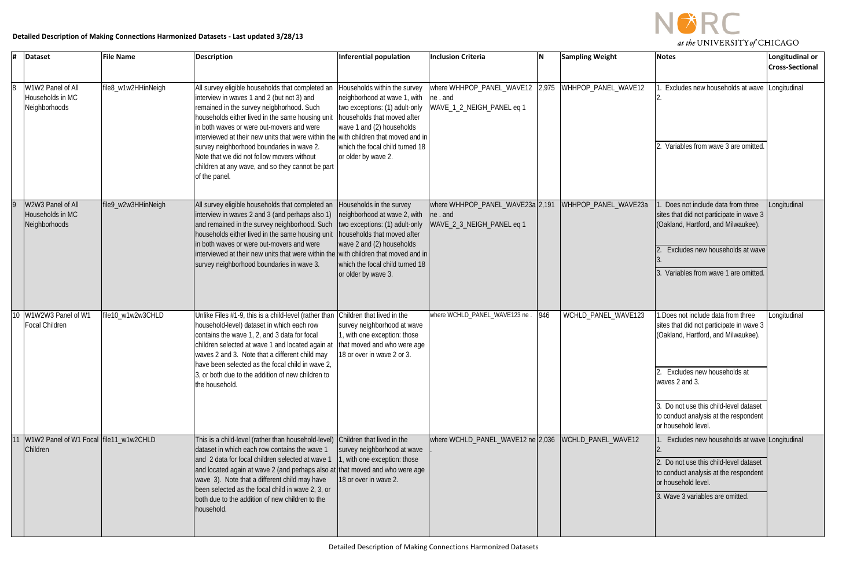

| l# | <b>Dataset</b>                                         | <b>File Name</b>    | <b>Description</b>                                                                                                                                                                                                                                                                                                                                                                                                                                                                                  | Inferential population                                                                                                                                                                                               | <b>Inclusion Criteria</b>                                                | ΙN  | <b>Sampling Weight</b> | <b>Notes</b>                                                                                                                                                                                                                                                                   | Longitudinal or<br><b>Cross-Sectional</b> |
|----|--------------------------------------------------------|---------------------|-----------------------------------------------------------------------------------------------------------------------------------------------------------------------------------------------------------------------------------------------------------------------------------------------------------------------------------------------------------------------------------------------------------------------------------------------------------------------------------------------------|----------------------------------------------------------------------------------------------------------------------------------------------------------------------------------------------------------------------|--------------------------------------------------------------------------|-----|------------------------|--------------------------------------------------------------------------------------------------------------------------------------------------------------------------------------------------------------------------------------------------------------------------------|-------------------------------------------|
|    | W1W2 Panel of All<br>Households in MC<br>Neighborhoods | file8_w1w2HHinNeigh | All survey eligible households that completed an<br>interview in waves 1 and 2 (but not 3) and<br>remained in the survey neigbhorhood. Such<br>households either lived in the same housing unit<br>in both waves or were out-movers and were<br>interviewed at their new units that were within the with children that moved and in<br>survey neighborhood boundaries in wave 2.<br>Note that we did not follow movers without<br>children at any wave, and so they cannot be part<br>of the panel. | Households within the survey<br>neighborhood at wave 1, with<br>two exceptions: (1) adult-only<br>households that moved after<br>wave 1 and (2) households<br>which the focal child turned 18<br>or older by wave 2. | where WHHPOP_PANEL_WAVE12 2,975<br>ne. and<br>WAVE_1_2_NEIGH_PANEL eq 1  |     | WHHPOP PANEL WAVE12    | Excludes new households at wave Longitudinal<br>Variables from wave 3 are omitted.                                                                                                                                                                                             |                                           |
|    | W2W3 Panel of All<br>Households in MC<br>Neighborhoods | file9_w2w3HHinNeigh | All survey eligible households that completed an<br>interview in waves 2 and 3 (and perhaps also 1)<br>and remained in the survey neighborhood. Such<br>households either lived in the same housing unit<br>in both waves or were out-movers and were<br>interviewed at their new units that were within the wiith children that moved and in<br>survey neighborhood boundaries in wave 3.                                                                                                          | Households in the survey<br>neighborhood at wave 2, with<br>two exceptions: (1) adult-only<br>households that moved after<br>wave 2 and (2) households<br>which the focal child turned 18<br>or older by wave 3.     | where WHHPOP_PANEL_WAVE23a 2,191<br>ne. and<br>WAVE_2_3_NEIGH_PANEL eq 1 |     | WHHPOP_PANEL_WAVE23a   | Does not include data from three<br>sites that did not participate in wave 3<br>(Oakland, Hartford, and Milwaukee).<br>Excludes new households at wave<br>Variables from wave 1 are omitted.                                                                                   | Longitudinal                              |
| 10 | W1W2W3 Panel of W1<br><b>Focal Children</b>            | file10_w1w2w3CHLD   | Unlike Files #1-9, this is a child-level (rather than<br>household-level) dataset in which each row<br>contains the wave 1, 2, and 3 data for focal<br>children selected at wave 1 and located again at<br>waves 2 and 3. Note that a different child may<br>have been selected as the focal child in wave 2,<br>3, or both due to the addition of new children to<br>the household.                                                                                                                | Children that lived in the<br>survey neighborhood at wave<br>I, with one exception: those<br>that moved and who were age<br>18 or over in wave 2 or 3.                                                               | where WCHLD_PANEL_WAVE123 ne.                                            | 946 | WCHLD_PANEL_WAVE123    | .Does not include data from three<br>sites that did not participate in wave 3<br>(Oakland, Hartford, and Milwaukee).<br>2. Excludes new households at<br>waves 2 and 3.<br>Do not use this child-level dataset<br>to conduct analysis at the respondent<br>or household level. | Longitudinal                              |
|    | W1W2 Panel of W1 Focal file11_w1w2CHLD<br>Children     |                     | This is a child-level (rather than household-level) Children that lived in the<br>dataset in which each row contains the wave 1<br>and 2 data for focal children selected at wave 1<br>and located again at wave 2 (and perhaps also at that moved and who were age<br>wave 3). Note that a different child may have<br>been selected as the focal child in wave 2, 3, or<br>both due to the addition of new children to the<br>household.                                                          | survey neighborhood at wave<br>1, with one exception: those<br>18 or over in wave 2.                                                                                                                                 | where WCHLD_PANEL_WAVE12 ne 2,036                                        |     | WCHLD_PANEL_WAVE12     | Excludes new households at wave Longitudinal<br>Do not use this child-level dataset<br>to conduct analysis at the respondent<br>or household level.<br>3. Wave 3 variables are omitted.                                                                                        |                                           |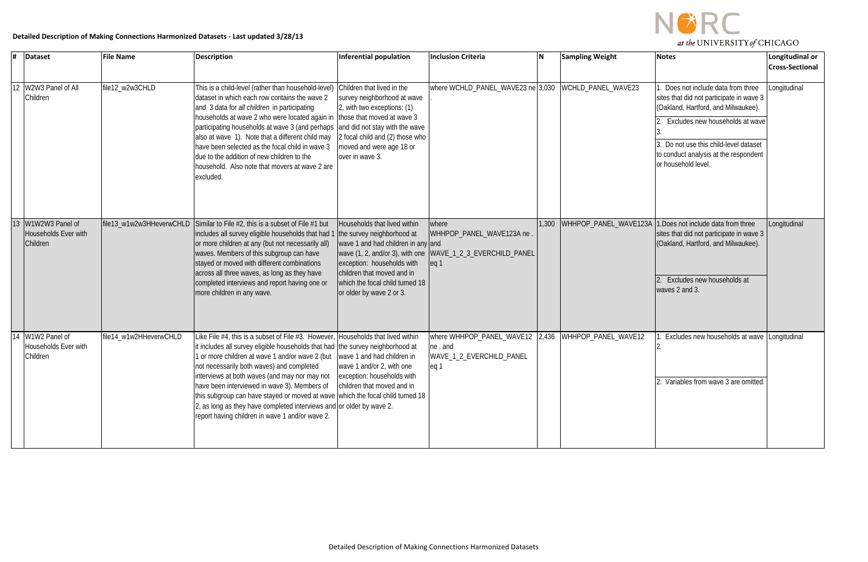

### **Detailed Description of Making Connections Harmonized Datasets - Last updated 3/28/13**

| l# | <b>Dataset</b>                                      | <b>File Name</b>         | <b>Description</b>                                                                                                                                                                                                                                                                                                                                                                                                                                                                                                                                                                                                                       | Inferential population                                                                                                                                                                                                      | <b>Inclusion Criteria</b>                                                                                           | N     | <b>Sampling Weight</b> | <b>Notes</b>                                                                                                                                                                                                                                                  | Longitudinal or<br><b>Cross-Sectional</b> |
|----|-----------------------------------------------------|--------------------------|------------------------------------------------------------------------------------------------------------------------------------------------------------------------------------------------------------------------------------------------------------------------------------------------------------------------------------------------------------------------------------------------------------------------------------------------------------------------------------------------------------------------------------------------------------------------------------------------------------------------------------------|-----------------------------------------------------------------------------------------------------------------------------------------------------------------------------------------------------------------------------|---------------------------------------------------------------------------------------------------------------------|-------|------------------------|---------------------------------------------------------------------------------------------------------------------------------------------------------------------------------------------------------------------------------------------------------------|-------------------------------------------|
|    | W2W3 Panel of All<br>Children                       | file12_w2w3CHLD          | This is a child-level (rather than household-level)<br>dataset in which each row contains the wave 2<br>and 3 data for all children in participating<br>households at wave 2 who were located again in those that moved at wave 3<br>participating households at wave 3 (and perhaps<br>also at wave 1). Note that a different child may<br>have been selected as the focal child in wave 3<br>due to the addition of new children to the<br>household. Also note that movers at wave 2 are<br>excluded.                                                                                                                                 | Children that lived in the<br>survey neighborhood at wave<br>2, with two exceptions: (1)<br>and did not stay with the wave<br>2 focal child and (2) those who<br>moved and were age 18 or<br>over in wave 3.                | where WCHLD_PANEL_WAVE23 ne 3,030                                                                                   |       | WCHLD_PANEL_WAVE23     | Does not include data from three<br>sites that did not participate in wave 3<br>(Oakland, Hartford, and Milwaukee).<br>Excludes new households at wave<br>Do not use this child-level dataset<br>to conduct analysis at the respondent<br>or household level. | Longitudinal                              |
|    | W1W2W3 Panel of<br>Households Ever with<br>Children | file13_w1w2w3HHeverwCHLD | Similar to File #2, this is a subset of File #1 but<br>includes all survey eligible households that had<br>or more children at any (but not necessarily all)<br>waves. Members of this subgroup can have<br>stayed or moved with different combinations<br>across all three waves, as long as they have<br>completed interviews and report having one or<br>more children in any wave.                                                                                                                                                                                                                                                   | Households that lived within<br>the survey neighborhood at<br>wave 1 and had children in any and<br>exception: households with<br>children that moved and in<br>which the focal child turned 18<br>or older by wave 2 or 3. | where<br>WHHPOP_PANEL_WAVE123A ne<br>wave (1, 2, and/or 3), with one  WAVE_1_2_3_EVERCHILD_PANEL<br>eq <sub>1</sub> | 1,300 | WHHPOP PANEL WAVE123A  | 1. Does not include data from three<br>sites that did not participate in wave 3<br>(Oakland, Hartford, and Milwaukee).<br>Excludes new households at<br>waves 2 and 3.                                                                                        | Longitudinal                              |
|    | W1W2 Panel of<br>Households Ever with<br>Children   | file14_w1w2HHeverwCHLD   | Like File #4, this is a subset of File #3. However, Households that lived within<br>it includes all survey eligible households that had the survey neighborhood at<br>1 or more children at wave 1 and/or wave 2 (but<br>not necessarily both waves) and completed<br>interviews at both waves (and may nor may not   exception: households with<br>have been interviewed in wave 3). Members of children that moved and in<br>this subgroup can have stayed or moved at wave which the focal child turned 18<br>2, as long as they have completed interviews and or older by wave 2.<br>report having children in wave 1 and/or wave 2. | wave 1 and had children in<br>wave 1 and/or 2, with one                                                                                                                                                                     | where WHHPOP_PANEL_WAVE12  2,436  WHHPOP_PANEL_WAVE12<br>ne.and<br>WAVE_1_2_EVERCHILD_PANEL<br>eg 1                 |       |                        | Excludes new households at wave Longitudinal<br>2. Variables from wave 3 are omitted.                                                                                                                                                                         |                                           |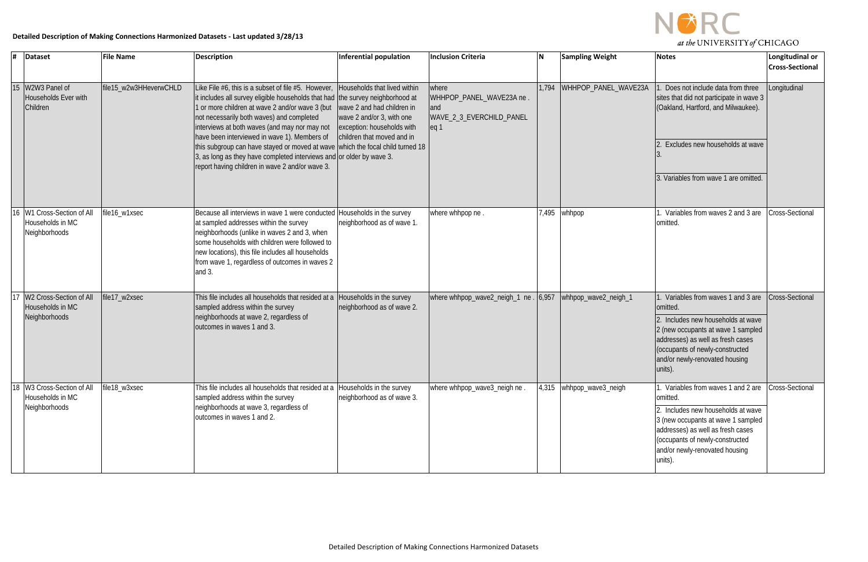

### **Detailed Description of Making Connections Harmonized Datasets - Last updated 3/28/13**

|    | $\sqrt{\frac{4}{1}}$ Dataset                                    | <b>File Name</b>       | <b>Description</b>                                                                                                                                                                                                                                                                                                                                                                                                                                                                                                                                  | Inferential population                                                                                                                              | <b>Inclusion Criteria</b>                                                               | İΝ    | <b>Sampling Weight</b> | <b>Notes</b>                                                                                                                                                                                                                                  | Longitudinal or<br><b>Cross-Sectional</b> |
|----|-----------------------------------------------------------------|------------------------|-----------------------------------------------------------------------------------------------------------------------------------------------------------------------------------------------------------------------------------------------------------------------------------------------------------------------------------------------------------------------------------------------------------------------------------------------------------------------------------------------------------------------------------------------------|-----------------------------------------------------------------------------------------------------------------------------------------------------|-----------------------------------------------------------------------------------------|-------|------------------------|-----------------------------------------------------------------------------------------------------------------------------------------------------------------------------------------------------------------------------------------------|-------------------------------------------|
| 15 | W2W3 Panel of<br>Households Ever with<br>Children               | file15_w2w3HHeverwCHLD | Like File #6, this is a subset of file #5. However,<br>it includes all survey eligible households that had the survey neighborhood at<br>1 or more children at wave 2 and/or wave 3 (but<br>not necessarily both waves) and completed<br>interviews at both waves (and may nor may not<br>have been interviewed in wave 1). Members of<br>this subgroup can have stayed or moved at wave which the focal child turned 18<br>3, as long as they have completed interviews and or older by wave 3.<br>report having children in wave 2 and/or wave 3. | Households that lived within<br>wave 2 and had children in<br>wave 2 and/or 3, with one<br>exception: households with<br>children that moved and in | where<br>WHHPOP_PANEL_WAVE23A ne.<br>and<br>WAVE_2_3_EVERCHILD_PANEL<br>eq <sub>1</sub> | 1,794 | WHHPOP_PANEL_WAVE23A   | Does not include data from three<br>sites that did not participate in wave 3<br>(Oakland, Hartford, and Milwaukee).<br>Excludes new households at wave<br>3. Variables from wave 1 are omitted.                                               | Longitudinal                              |
| 16 | W1 Cross-Section of All<br>Households in MC<br>Neighborhoods    | file16_w1xsec          | Because all interviews in wave 1 were conducted Households in the survey<br>at sampled addresses within the survey<br>neighborhoods (unlike in waves 2 and 3, when<br>some households with children were followed to<br>new locations), this file includes all households<br>from wave 1, regardless of outcomes in waves 2<br>and 3.                                                                                                                                                                                                               | neighborhood as of wave 1.                                                                                                                          | where whhpop ne                                                                         |       | 7,495   whhpop         | Variables from waves 2 and 3 are<br>omitted                                                                                                                                                                                                   | Cross-Sectional                           |
|    | W2 Cross-Section of All<br>Households in MC<br>Neighborhoods    | file17_w2xsec          | This file includes all households that resided at a<br>sampled address within the survey<br>neighborhoods at wave 2, regardless of<br>outcomes in waves 1 and 3.                                                                                                                                                                                                                                                                                                                                                                                    | Households in the survey<br>neighborhood as of wave 2.                                                                                              | where whhpop_wave2_neigh_1 ne                                                           | 6,957 | whhpop_wave2_neigh_1   | Variables from waves 1 and 3 are<br>omitted.<br>2. Includes new households at wave<br>2 (new occupants at wave 1 sampled<br>addresses) as well as fresh cases<br>(occupants of newly-constructed<br>and/or newly-renovated housing<br>units). | Cross-Sectional                           |
|    | 18 W3 Cross-Section of All<br>Households in MC<br>Neighborhoods | file18_w3xsec          | This file includes all households that resided at a<br>sampled address within the survey<br>neighborhoods at wave 3, regardless of<br>outcomes in waves 1 and 2.                                                                                                                                                                                                                                                                                                                                                                                    | Households in the survey<br>neighborhood as of wave 3.                                                                                              | where whhpop_wave3_neigh ne.                                                            | 4,315 | whhpop_wave3_neigh     | Variables from waves 1 and 2 are<br>omitted.<br>2. Includes new households at wave<br>3 (new occupants at wave 1 sampled<br>addresses) as well as fresh cases<br>(occupants of newly-constructed<br>and/or newly-renovated housing<br>units). | <b>Cross-Sectional</b>                    |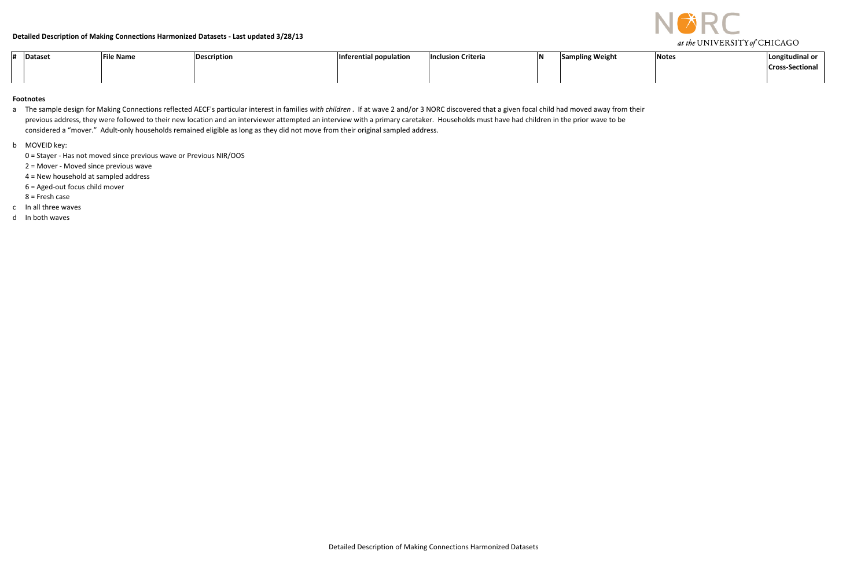

| Dataset | <b>File Name</b> | <b>Description</b> | Inferential population | <b>Inclusion Criteria</b> | INI | <b>Sampling Weight</b> | Notes | Longitudinal or        |
|---------|------------------|--------------------|------------------------|---------------------------|-----|------------------------|-------|------------------------|
|         |                  |                    |                        |                           |     |                        |       | <b>Cross-Sectional</b> |
|         |                  |                    |                        |                           |     |                        |       |                        |

#### **Footnotes**

- a The sample design for Making Connections reflected AECF's particular interest in families *with children* . If at wave 2 and/or 3 NORC discovered that a given focal child had moved away from their previous address, they were followed to their new location and an interviewer attempted an interview with a primary caretaker. Households must have had children in the prior wave to be considered a "mover." Adult-only households remained eligible as long as they did not move from their original sampled address.
- b MOVEID key:
	- 0 = Stayer Has not moved since previous wave or Previous NIR/OOS
	- 2 = Mover Moved since previous wave
	- 4 = New household at sampled address
	- 6 = Aged-out focus child mover
	- 8 = Fresh case
- c In all three waves
- d In both waves